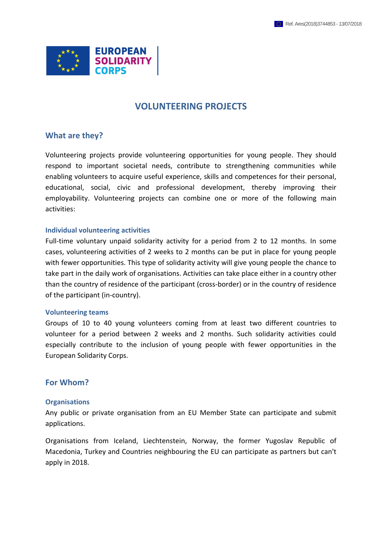

# **VOLUNTEERING PROJECTS**

### **What are they?**

Volunteering projects provide volunteering opportunities for young people. They should respond to important societal needs, contribute to strengthening communities while enabling volunteers to acquire useful experience, skills and competences for their personal, educational, social, civic and professional development, thereby improving their employability. Volunteering projects can combine one or more of the following main activities:

#### **Individual volunteering activities**

Full-time voluntary unpaid solidarity activity for a period from 2 to 12 months. In some cases, volunteering activities of 2 weeks to 2 months can be put in place for young people with fewer opportunities. This type of solidarity activity will give young people the chance to take part in the daily work of organisations. Activities can take place either in a country other than the country of residence of the participant (cross-border) or in the country of residence of the participant (in-country).

#### **Volunteering teams**

Groups of 10 to 40 young volunteers coming from at least two different countries to volunteer for a period between 2 weeks and 2 months. Such solidarity activities could especially contribute to the inclusion of young people with fewer opportunities in the European Solidarity Corps.

### **For Whom?**

### **Organisations**

Any public or private organisation from an EU Member State can participate and submit applications.

Organisations from Iceland, Liechtenstein, Norway, the former Yugoslav Republic of Macedonia, Turkey and Countries neighbouring the EU can participate as partners but can't apply in 2018.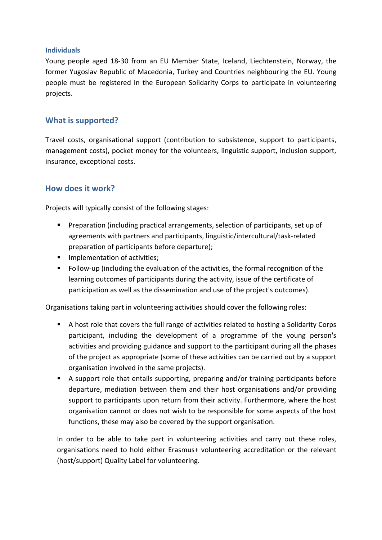### **Individuals**

Young people aged 18-30 from an EU Member State, Iceland, Liechtenstein, Norway, the former Yugoslav Republic of Macedonia, Turkey and Countries neighbouring the EU. Young people must be registered in the European Solidarity Corps to participate in volunteering projects.

## **What is supported?**

Travel costs, organisational support (contribution to subsistence, support to participants, management costs), pocket money for the volunteers, linguistic support, inclusion support, insurance, exceptional costs.

## **How does it work?**

Projects will typically consist of the following stages:

- Preparation (including practical arrangements, selection of participants, set up of agreements with partners and participants, linguistic/intercultural/task-related preparation of participants before departure);
- **IMPLEMENTER INCOCO EXCITED** Implementation of activities;
- Follow-up (including the evaluation of the activities, the formal recognition of the learning outcomes of participants during the activity, issue of the certificate of participation as well as the dissemination and use of the project's outcomes).

Organisations taking part in volunteering activities should cover the following roles:

- A host role that covers the full range of activities related to hosting a Solidarity Corps participant, including the development of a programme of the young person's activities and providing guidance and support to the participant during all the phases of the project as appropriate (some of these activities can be carried out by a support organisation involved in the same projects).
- A support role that entails supporting, preparing and/or training participants before departure, mediation between them and their host organisations and/or providing support to participants upon return from their activity. Furthermore, where the host organisation cannot or does not wish to be responsible for some aspects of the host functions, these may also be covered by the support organisation.

In order to be able to take part in volunteering activities and carry out these roles, organisations need to hold either Erasmus+ volunteering accreditation or the relevant (host/support) Quality Label for volunteering.